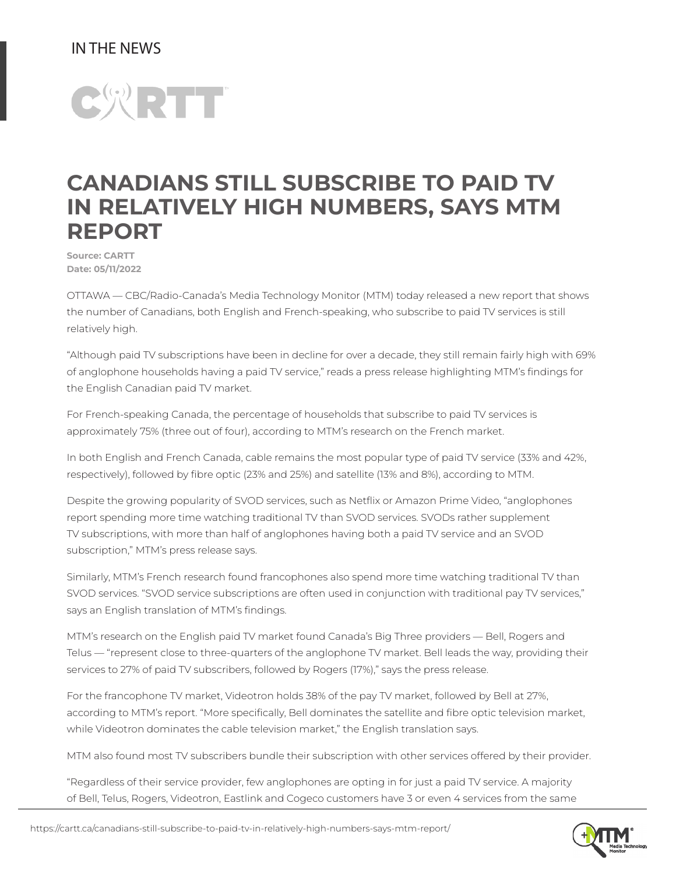## IN THE NEWS



## CANADIANS STILL SUBSCRIBE TO PAID TV IN RELATIVELY HIGH NUMBERS, SAYS MTM REPORT

Source: CARTT Date: 05/11/2022

OTTAWA — CBC/Radio-Canada's Media Technology Monitor (MTM) today released a new report that shows the number of Canadians, both English and French-speaking, who subscribe to paid TV services is still relatively high.

"Although paid TV subscriptions have been in decline for over a decade, they still remain fairly high with 69% of anglophone households having a paid TV service," reads a press release highlighting MTM's findings for the English Canadian paid TV market.

For French-speaking Canada, the percentage of households that subscribe to paid TV services is approximately 75% (three out of four), according to MTM's research on the French market.

In both English and French Canada, cable remains the most popular type of paid TV service (33% and 42%, respectively), followed by fibre optic (23% and 25%) and satellite (13% and 8%), according to MTM.

Despite the growing popularity of SVOD services, such as Netflix or Amazon Prime Video, "anglophones report spending more time watching traditional TV than SVOD services. SVODs rather supplement TV subscriptions, with more than half of anglophones having both a paid TV service and an SVOD subscription," MTM's press release says.

Similarly, MTM's French research found francophones also spend more time watching traditional TV than SVOD services. "SVOD service subscriptions are often used in conjunction with traditional pay TV services," says an English translation of MTM's findings.

MTM's research on the English paid TV market found Canada's Big Three providers — Bell, Rogers and Telus — "represent close to three-quarters of the anglophone TV market. Bell leads the way, providing their services to 27% of paid TV subscribers, followed by Rogers (17%)," says the press release.

For the francophone TV market, Videotron holds 38% of the pay TV market, followed by Bell at 27%, according to MTM's report. "More specifically, Bell dominates the satellite and fibre optic television market, while Videotron dominates the cable television market," the English translation says.

MTM also found most TV subscribers bundle their subscription with other services offered by their provider.

"Regardless of their service provider, few anglophones are opting in for just a paid TV service. A majority of Bell, Telus, Rogers, Videotron, Eastlink and Cogeco customers have 3 or even 4 services from the same